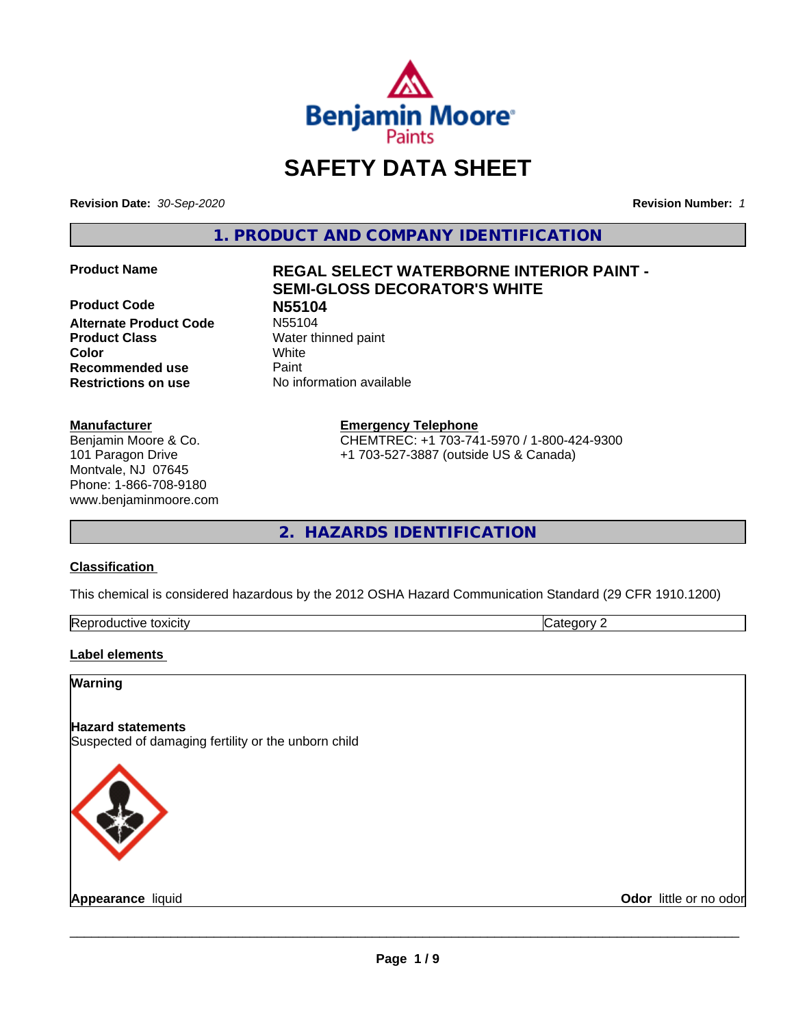

# **SAFETY DATA SHEET**

**Revision Date:** *30-Sep-2020* **Revision Number:** *1*

**1. PRODUCT AND COMPANY IDENTIFICATION**

**Product Code N55104 Alternate Product Code Product Class** Water thinned paint **Color** White **Recommended use Caint Restrictions on use** No information available

#### **Manufacturer**

Benjamin Moore & Co. 101 Paragon Drive Montvale, NJ 07645 Phone: 1-866-708-9180 www.benjaminmoore.com

# **Product Name REGAL SELECT WATERBORNE INTERIOR PAINT - SEMI-GLOSS DECORATOR'S WHITE**

**Emergency Telephone**

CHEMTREC: +1 703-741-5970 / 1-800-424-9300 +1 703-527-3887 (outside US & Canada)

**2. HAZARDS IDENTIFICATION**

#### **Classification**

This chemical is considered hazardous by the 2012 OSHA Hazard Communication Standard (29 CFR 1910.1200)

| -<br>Repr<br>toxicity<br>. GUCTIVE | - - -<br>. זרי<br>.<br> |
|------------------------------------|-------------------------|

#### **Label elements**

#### **Warning**

#### **Hazard statements**

Suspected of damaging fertility or the unborn child



**Appearance** liquid **Contract Contract Contract Contract Contract Contract Contract Contract Contract Contract Contract Contract Contract Contract Contract Contract Contract Contract Contract Contract Contract Contract Con**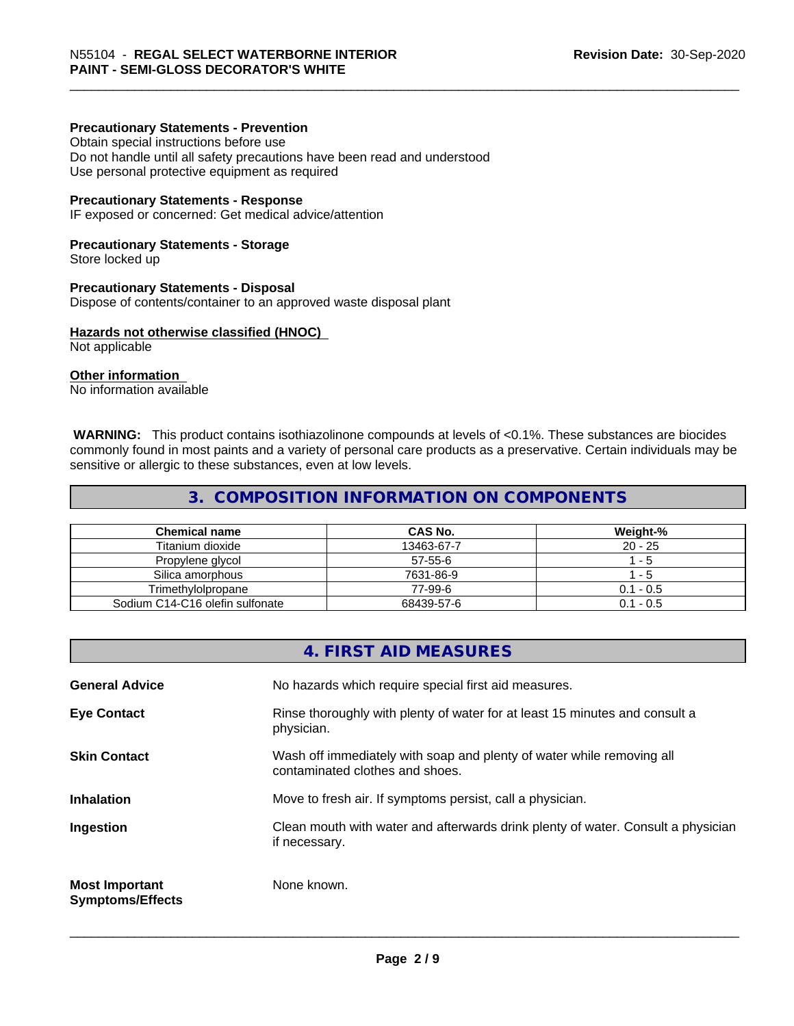#### **Precautionary Statements - Prevention**

Obtain special instructions before use Do not handle until all safety precautions have been read and understood Use personal protective equipment as required

#### **Precautionary Statements - Response**

IF exposed or concerned: Get medical advice/attention

#### **Precautionary Statements - Storage**

Store locked up

#### **Precautionary Statements - Disposal**

Dispose of contents/container to an approved waste disposal plant

#### **Hazards not otherwise classified (HNOC)**

Not applicable

#### **Other information**

No information available

 **WARNING:** This product contains isothiazolinone compounds at levels of <0.1%. These substances are biocides commonly found in most paints and a variety of personal care products as a preservative. Certain individuals may be sensitive or allergic to these substances, even at low levels.

### **3. COMPOSITION INFORMATION ON COMPONENTS**

| <b>Chemical name</b>            | CAS No.    | Weight-%    |
|---------------------------------|------------|-------------|
| Titanium dioxide                | 13463-67-7 | $20 - 25$   |
| Propylene glycol                | 57-55-6    | - 5         |
| Silica amorphous                | 7631-86-9  | - 5         |
| Trimethvlolpropane              | 77-99-6    | $0.1 - 0.5$ |
| Sodium C14-C16 olefin sulfonate | 68439-57-6 | $0.1 - 0.5$ |

#### **4. FIRST AID MEASURES**

| <b>General Advice</b>                            | No hazards which require special first aid measures.                                                     |
|--------------------------------------------------|----------------------------------------------------------------------------------------------------------|
| <b>Eye Contact</b>                               | Rinse thoroughly with plenty of water for at least 15 minutes and consult a<br>physician.                |
| <b>Skin Contact</b>                              | Wash off immediately with soap and plenty of water while removing all<br>contaminated clothes and shoes. |
| <b>Inhalation</b>                                | Move to fresh air. If symptoms persist, call a physician.                                                |
| Ingestion                                        | Clean mouth with water and afterwards drink plenty of water. Consult a physician<br>if necessary.        |
| <b>Most Important</b><br><b>Symptoms/Effects</b> | None known.                                                                                              |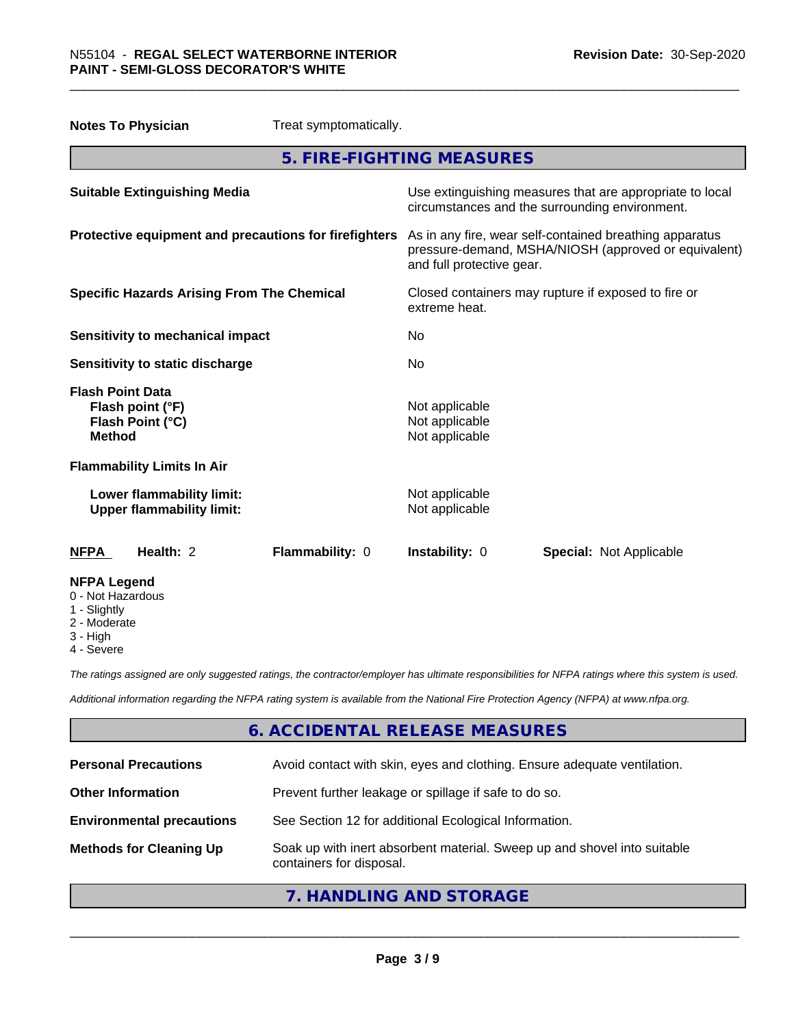| <b>Notes To Physician</b>                                                        | Treat symptomatically.                             |                                                                                                                 |
|----------------------------------------------------------------------------------|----------------------------------------------------|-----------------------------------------------------------------------------------------------------------------|
|                                                                                  | 5. FIRE-FIGHTING MEASURES                          |                                                                                                                 |
| <b>Suitable Extinguishing Media</b>                                              |                                                    | Use extinguishing measures that are appropriate to local<br>circumstances and the surrounding environment.      |
| Protective equipment and precautions for firefighters                            | and full protective gear.                          | As in any fire, wear self-contained breathing apparatus<br>pressure-demand, MSHA/NIOSH (approved or equivalent) |
| <b>Specific Hazards Arising From The Chemical</b>                                | extreme heat.                                      | Closed containers may rupture if exposed to fire or                                                             |
| <b>Sensitivity to mechanical impact</b>                                          | No.                                                |                                                                                                                 |
| Sensitivity to static discharge                                                  | No                                                 |                                                                                                                 |
| <b>Flash Point Data</b><br>Flash point (°F)<br>Flash Point (°C)<br><b>Method</b> | Not applicable<br>Not applicable<br>Not applicable |                                                                                                                 |
| <b>Flammability Limits In Air</b>                                                |                                                    |                                                                                                                 |
| Lower flammability limit:<br><b>Upper flammability limit:</b>                    | Not applicable<br>Not applicable                   |                                                                                                                 |
| Health: 2<br><b>NFPA</b>                                                         | Flammability: 0<br>Instability: 0                  | <b>Special: Not Applicable</b>                                                                                  |
| <b>NFPA Legend</b><br>0 - Not Hazardous<br>1 - Slightly<br>$2$ Moderate          |                                                    |                                                                                                                 |

- 2 Moderate
- 3 High
- 4 Severe

*The ratings assigned are only suggested ratings, the contractor/employer has ultimate responsibilities for NFPA ratings where this system is used.*

*Additional information regarding the NFPA rating system is available from the National Fire Protection Agency (NFPA) at www.nfpa.org.*

# **6. ACCIDENTAL RELEASE MEASURES**

| <b>Personal Precautions</b>      | Avoid contact with skin, eyes and clothing. Ensure adequate ventilation.                             |
|----------------------------------|------------------------------------------------------------------------------------------------------|
| <b>Other Information</b>         | Prevent further leakage or spillage if safe to do so.                                                |
| <b>Environmental precautions</b> | See Section 12 for additional Ecological Information.                                                |
| <b>Methods for Cleaning Up</b>   | Soak up with inert absorbent material. Sweep up and shovel into suitable<br>containers for disposal. |

# **7. HANDLING AND STORAGE**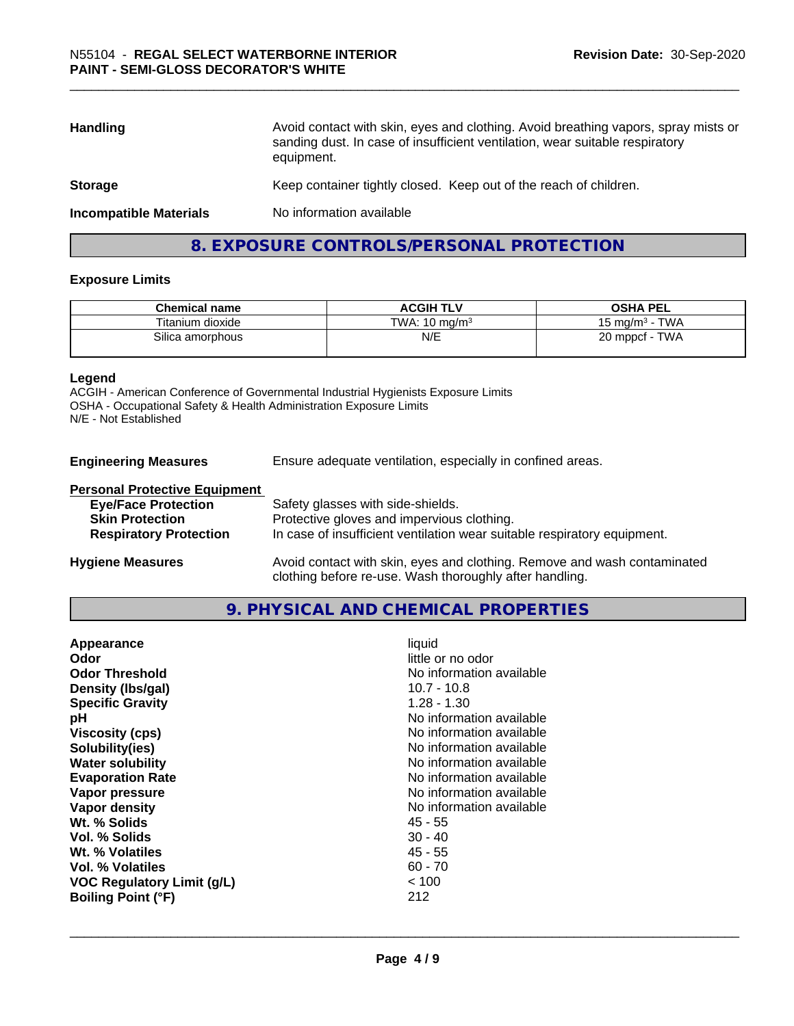| <b>Handling</b>               | Avoid contact with skin, eyes and clothing. Avoid breathing vapors, spray mists or<br>sanding dust. In case of insufficient ventilation, wear suitable respiratory<br>equipment. |  |
|-------------------------------|----------------------------------------------------------------------------------------------------------------------------------------------------------------------------------|--|
| <b>Storage</b>                | Keep container tightly closed. Keep out of the reach of children.                                                                                                                |  |
| <b>Incompatible Materials</b> | No information available                                                                                                                                                         |  |
|                               |                                                                                                                                                                                  |  |

# **8. EXPOSURE CONTROLS/PERSONAL PROTECTION**

#### **Exposure Limits**

| <b>Chemical name</b> | <b>ACGIH TLV</b>         | <b>OSHA PEL</b>           |
|----------------------|--------------------------|---------------------------|
| Titanium dioxide     | TWA: $10 \text{ ma/m}^3$ | <b>TWA</b><br>15 mg/m $3$ |
| Silica amorphous     | N/E                      | TWA<br>$20$ mppcf -       |

#### **Legend**

ACGIH - American Conference of Governmental Industrial Hygienists Exposure Limits OSHA - Occupational Safety & Health Administration Exposure Limits N/E - Not Established

| <b>Engineering Measures</b> | Ensure adequate ventilation, especially in confined areas. |
|-----------------------------|------------------------------------------------------------|
|-----------------------------|------------------------------------------------------------|

#### **Personal Protective Equipment**

| <b>Eye/Face Protection</b>    | Safety glasses with side-shields.                                        |
|-------------------------------|--------------------------------------------------------------------------|
| <b>Skin Protection</b>        | Protective gloves and impervious clothing.                               |
| <b>Respiratory Protection</b> | In case of insufficient ventilation wear suitable respiratory equipment. |
| <b>Hygiene Measures</b>       | Avoid contact with skin, eyes and clothing. Remove and wash contaminated |

# **9. PHYSICAL AND CHEMICAL PROPERTIES**

clothing before re-use. Wash thoroughly after handling.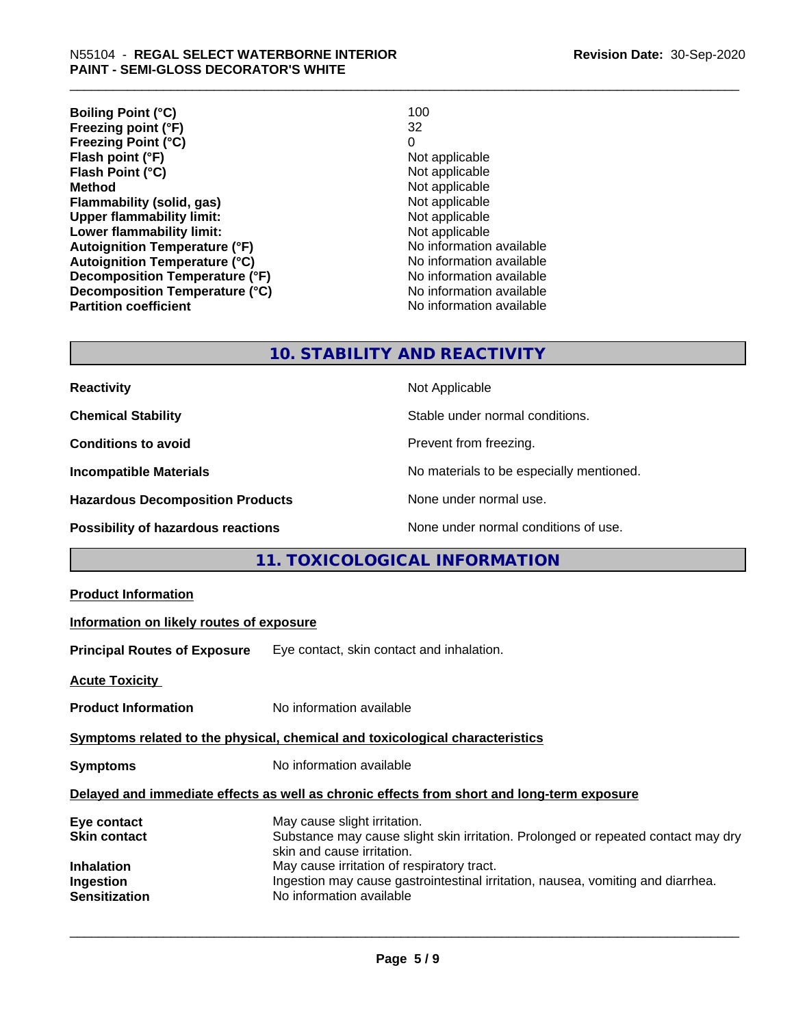| <b>Boiling Point (°C)</b>            | 100                      |
|--------------------------------------|--------------------------|
| Freezing point (°F)                  | 32                       |
| <b>Freezing Point (°C)</b>           | 0                        |
| Flash point (°F)                     | Not applicable           |
| Flash Point (°C)                     | Not applicable           |
| <b>Method</b>                        | Not applicable           |
| Flammability (solid, gas)            | Not applicable           |
| <b>Upper flammability limit:</b>     | Not applicable           |
| Lower flammability limit:            | Not applicable           |
| <b>Autoignition Temperature (°F)</b> | No information available |
| <b>Autoignition Temperature (°C)</b> | No information available |
| Decomposition Temperature (°F)       | No information available |
| Decomposition Temperature (°C)       | No information available |
| <b>Partition coefficient</b>         | No information available |

# **10. STABILITY AND REACTIVITY**

| <b>Reactivity</b>                         | Not Applicable                           |
|-------------------------------------------|------------------------------------------|
| <b>Chemical Stability</b>                 | Stable under normal conditions.          |
| <b>Conditions to avoid</b>                | Prevent from freezing.                   |
| <b>Incompatible Materials</b>             | No materials to be especially mentioned. |
| <b>Hazardous Decomposition Products</b>   | None under normal use.                   |
| <b>Possibility of hazardous reactions</b> | None under normal conditions of use.     |

# **11. TOXICOLOGICAL INFORMATION**

| Symptoms related to the physical, chemical and toxicological characteristics               |  |  |  |
|--------------------------------------------------------------------------------------------|--|--|--|
|                                                                                            |  |  |  |
| Delayed and immediate effects as well as chronic effects from short and long-term exposure |  |  |  |
| Substance may cause slight skin irritation. Prolonged or repeated contact may dry          |  |  |  |
|                                                                                            |  |  |  |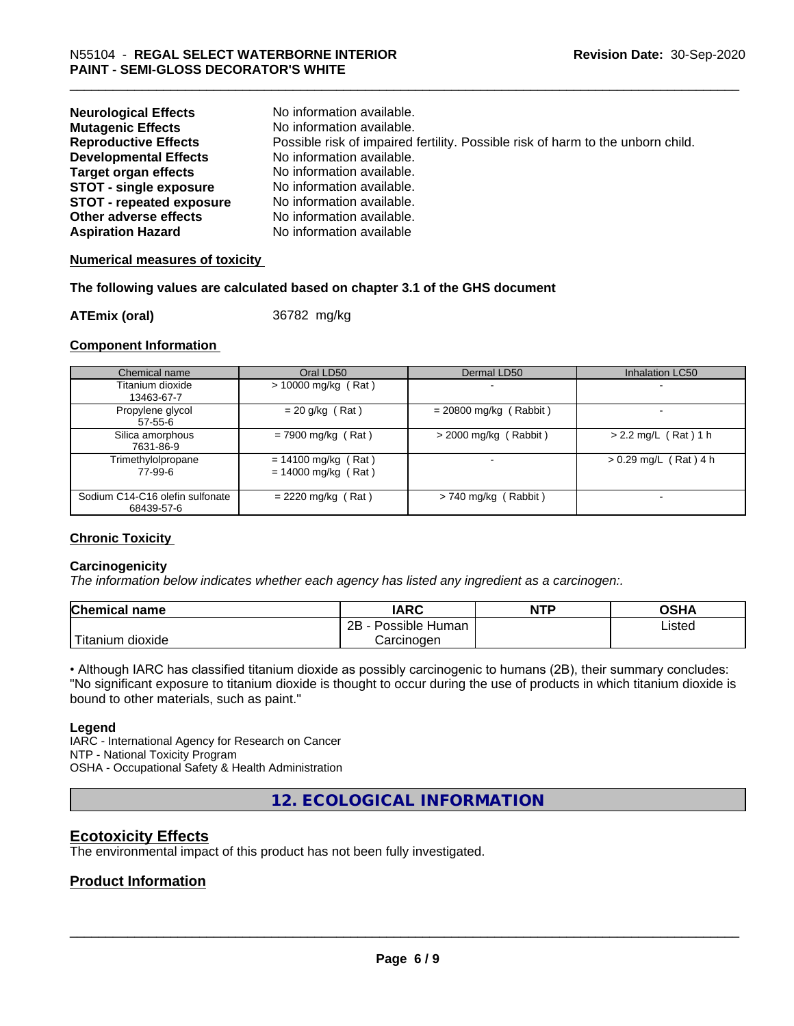| <b>Neurological Effects</b><br><b>Mutagenic Effects</b> | No information available.<br>No information available.                          |
|---------------------------------------------------------|---------------------------------------------------------------------------------|
| <b>Reproductive Effects</b>                             | Possible risk of impaired fertility. Possible risk of harm to the unborn child. |
| <b>Developmental Effects</b>                            | No information available.                                                       |
| <b>Target organ effects</b>                             | No information available.                                                       |
| <b>STOT - single exposure</b>                           | No information available.                                                       |
| <b>STOT - repeated exposure</b>                         | No information available.                                                       |
| Other adverse effects                                   | No information available.                                                       |
| <b>Aspiration Hazard</b>                                | No information available                                                        |

#### **Numerical measures of toxicity**

#### **The following values are calculated based on chapter 3.1 of the GHS document**

**ATEmix (oral)** 36782 mg/kg

#### **Component Information**

| Chemical name                                 | Oral LD50                                      | Dermal LD50              | Inhalation LC50         |
|-----------------------------------------------|------------------------------------------------|--------------------------|-------------------------|
| Titanium dioxide<br>13463-67-7                | $> 10000$ mg/kg (Rat)                          |                          |                         |
| Propylene glycol<br>57-55-6                   | $= 20$ g/kg (Rat)                              | $= 20800$ mg/kg (Rabbit) |                         |
| Silica amorphous<br>7631-86-9                 | $= 7900$ mg/kg (Rat)                           | $>$ 2000 mg/kg (Rabbit)  | $> 2.2$ mg/L (Rat) 1 h  |
| Trimethylolpropane<br>77-99-6                 | $= 14100$ mg/kg (Rat)<br>$= 14000$ mg/kg (Rat) |                          | $> 0.29$ mg/L (Rat) 4 h |
| Sodium C14-C16 olefin sulfonate<br>68439-57-6 | $= 2220$ mg/kg (Rat)                           | $> 740$ mg/kg (Rabbit)   |                         |

#### **Chronic Toxicity**

#### **Carcinogenicity**

*The information below indicateswhether each agency has listed any ingredient as a carcinogen:.*

| <b>Chemical name</b>       | <b>IARC</b>          | <b>NTP</b> | <b>OSHA</b> |
|----------------------------|----------------------|------------|-------------|
|                            | 2B<br>Possible Human |            | Listed<br>. |
| $'$ Titanium<br>m dioxide. | Carcinoɑen           |            |             |

• Although IARC has classified titanium dioxide as possibly carcinogenic to humans (2B), their summary concludes: "No significant exposure to titanium dioxide is thought to occur during the use of products in which titanium dioxide is bound to other materials, such as paint."

#### **Legend**

IARC - International Agency for Research on Cancer NTP - National Toxicity Program OSHA - Occupational Safety & Health Administration

**12. ECOLOGICAL INFORMATION**

# **Ecotoxicity Effects**

The environmental impact of this product has not been fully investigated.

#### **Product Information**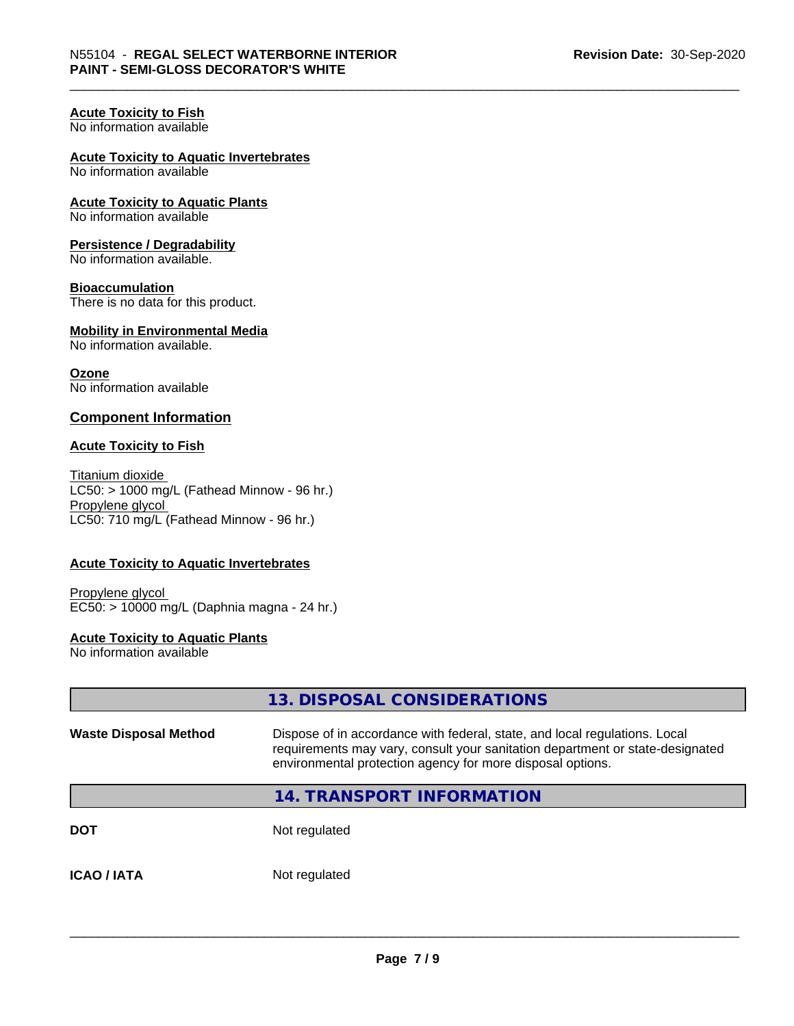# **Acute Toxicity to Fish**

No information available

## **Acute Toxicity to Aquatic Invertebrates**

No information available

#### **Acute Toxicity to Aquatic Plants** No information available

## **Persistence / Degradability**

No information available.

#### **Bioaccumulation**

There is no data for this product.

#### **Mobility in Environmental Media** No information available.

**Ozone** No information available

#### **Component Information**

#### **Acute Toxicity to Fish**

Titanium dioxide  $LC50:$  > 1000 mg/L (Fathead Minnow - 96 hr.) Propylene glycol LC50: 710 mg/L (Fathead Minnow - 96 hr.)

#### **Acute Toxicity to Aquatic Invertebrates**

Propylene glycol EC50: > 10000 mg/L (Daphnia magna - 24 hr.)

## **Acute Toxicity to Aquatic Plants**

No information available

|                              | 13. DISPOSAL CONSIDERATIONS                                                                                                                                                                                               |
|------------------------------|---------------------------------------------------------------------------------------------------------------------------------------------------------------------------------------------------------------------------|
| <b>Waste Disposal Method</b> | Dispose of in accordance with federal, state, and local regulations. Local<br>requirements may vary, consult your sanitation department or state-designated<br>environmental protection agency for more disposal options. |
|                              | <b>14. TRANSPORT INFORMATION</b>                                                                                                                                                                                          |
| <b>DOT</b>                   | Not regulated                                                                                                                                                                                                             |
| <b>ICAO/IATA</b>             | Not regulated                                                                                                                                                                                                             |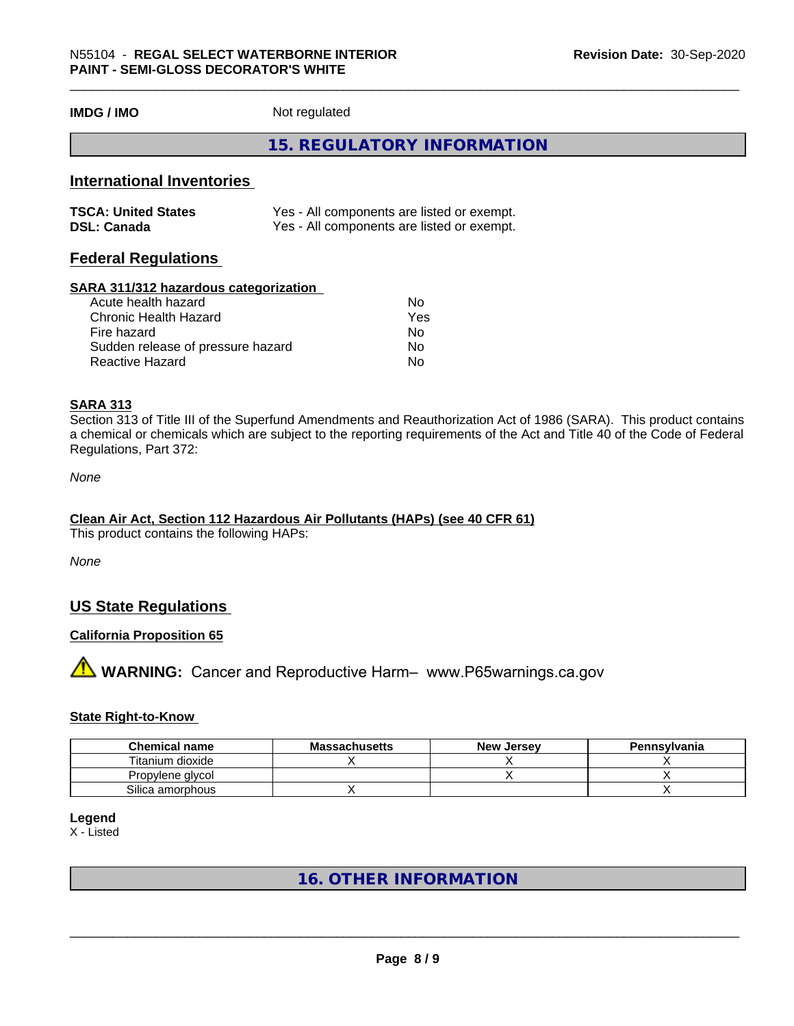**IMDG / IMO** Not regulated

### **15. REGULATORY INFORMATION**

## **International Inventories**

| <b>TSCA: United States</b> | Yes - All components are listed or exempt. |
|----------------------------|--------------------------------------------|
| <b>DSL: Canada</b>         | Yes - All components are listed or exempt. |

# **Federal Regulations**

#### **SARA 311/312 hazardous categorization**

| Acute health hazard               | No  |
|-----------------------------------|-----|
| Chronic Health Hazard             | Yes |
| Fire hazard                       | N٥  |
| Sudden release of pressure hazard | Nο  |
| Reactive Hazard                   | N٥  |

#### **SARA 313**

Section 313 of Title III of the Superfund Amendments and Reauthorization Act of 1986 (SARA). This product contains a chemical or chemicals which are subject to the reporting requirements of the Act and Title 40 of the Code of Federal Regulations, Part 372:

*None*

#### **Clean Air Act,Section 112 Hazardous Air Pollutants (HAPs) (see 40 CFR 61)**

This product contains the following HAPs:

*None*

# **US State Regulations**

#### **California Proposition 65**

# **AVIMARNING:** Cancer and Reproductive Harm– www.P65warnings.ca.gov

#### **State Right-to-Know**

| <b>Chemical name</b> | <b>Massachusetts</b> | <b>New Jersey</b> | Pennsylvania |
|----------------------|----------------------|-------------------|--------------|
| Titanium dioxide     |                      |                   |              |
| Propylene glycol     |                      |                   |              |
| Silica amorphous     |                      |                   |              |

#### **Legend**

X - Listed

# **16. OTHER INFORMATION**